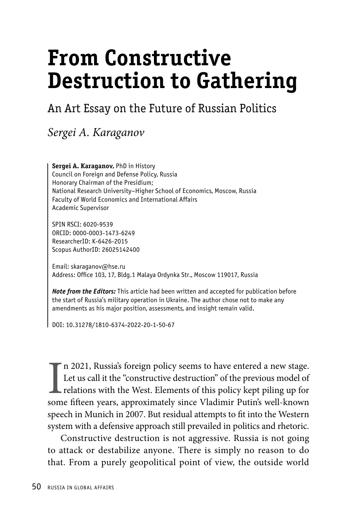# **From Constructive Destruction to Gathering**

# An Art Essay on the Future of Russian Politics

*Sergei A. Karaganov*

**Sergei A. Karaganov,** PhD in History Council on Foreign and Defense Policy, Russia Honorary Chairman of the Presidium; National Research University–Higher School of Economics, Moscow, Russia Faculty of World Economics and International Affairs Academic Supervisor

SPIN RSCI: 6020-9539 ORCID: 0000-0003-1473-6249 ResearcherID: K-6426-2015 Scopus AuthorID: 26025142400

Email: skaraganov@hse.ru Address: Office 103, 17, Bldg.1 Malaya Ordynka Str., Moscow 119017, Russia

*Note from the Editors:* This article had been written and accepted for publication before the start of Russia's military operation in Ukraine. The author chose not to make any amendments as his major position, assessments, and insight remain valid.

DOI: 10.31278/1810-6374-2022-20-1-50-67

In 2021, Russia's foreign policy seems to have entered a new stage.<br>Let us call it the "constructive destruction" of the previous model of relations with the West. Elements of this policy kept piling up for some fifteen ye n 2021, Russia's foreign policy seems to have entered a new stage. Let us call it the "constructive destruction" of the previous model of relations with the West. Elements of this policy kept piling up for speech in Munich in 2007. But residual attempts to fit into the Western system with a defensive approach still prevailed in politics and rhetoric.

Constructive destruction is not aggressive. Russia is not going to attack or destabilize anyone. There is simply no reason to do that. From a purely geopolitical point of view, the outside world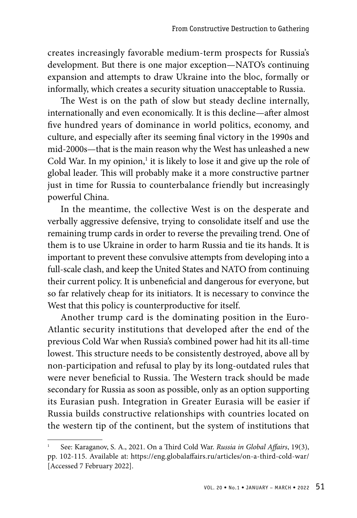creates increasingly favorable medium-term prospects for Russia's development. But there is one major exception—NATO's continuing expansion and attempts to draw Ukraine into the bloc, formally or informally, which creates a security situation unacceptable to Russia.

The West is on the path of slow but steady decline internally, internationally and even economically. It is this decline—after almost five hundred years of dominance in world politics, economy, and culture, and especially after its seeming final victory in the 1990s and mid-2000s—that is the main reason why the West has unleashed a new Cold War. In my opinion, $^1$  it is likely to lose it and give up the role of global leader. This will probably make it a more constructive partner just in time for Russia to counterbalance friendly but increasingly powerful China.

In the meantime, the collective West is on the desperate and verbally aggressive defensive, trying to consolidate itself and use the remaining trump cards in order to reverse the prevailing trend. One of them is to use Ukraine in order to harm Russia and tie its hands. It is important to prevent these convulsive attempts from developing into a full-scale clash, and keep the United States and NATO from continuing their current policy. It is unbeneficial and dangerous for everyone, but so far relatively cheap for its initiators. It is necessary to convince the West that this policy is counterproductive for itself.

Another trump card is the dominating position in the Euro-Atlantic security institutions that developed after the end of the previous Cold War when Russia's combined power had hit its all-time lowest. This structure needs to be consistently destroyed, above all by non-participation and refusal to play by its long-outdated rules that were never beneficial to Russia. The Western track should be made secondary for Russia as soon as possible, only as an option supporting its Eurasian push. Integration in Greater Eurasia will be easier if Russia builds constructive relationships with countries located on the western tip of the continent, but the system of institutions that

<sup>1</sup> See: Karaganov, S. A., 2021. On a Third Cold War. *Russia in Global Affairs*, 19(3), pp. 102-115. Available at: https://eng.globalaffairs.ru/articles/on-a-third-cold-war/ [Accessed 7 February 2022].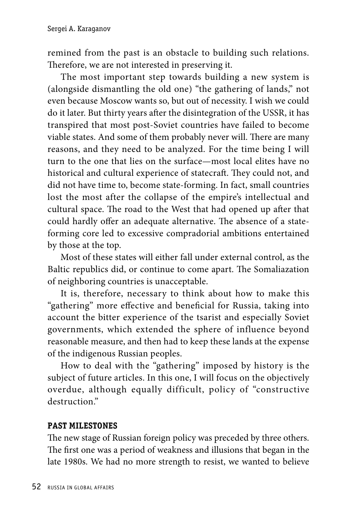remined from the past is an obstacle to building such relations. Therefore, we are not interested in preserving it.

The most important step towards building a new system is (alongside dismantling the old one) "the gathering of lands," not even because Moscow wants so, but out of necessity. I wish we could do it later. But thirty years after the disintegration of the USSR, it has transpired that most post-Soviet countries have failed to become viable states. And some of them probably never will. There are many reasons, and they need to be analyzed. For the time being I will turn to the one that lies on the surface—most local elites have no historical and cultural experience of statecraft. They could not, and did not have time to, become state-forming. In fact, small countries lost the most after the collapse of the empire's intellectual and cultural space. The road to the West that had opened up after that could hardly offer an adequate alternative. The absence of a stateforming core led to excessive compradorial ambitions entertained by those at the top.

Most of these states will either fall under external control, as the Baltic republics did, or continue to come apart. The Somaliazation of neighboring countries is unacceptable.

It is, therefore, necessary to think about how to make this "gathering" more effective and beneficial for Russia, taking into account the bitter experience of the tsarist and especially Soviet governments, which extended the sphere of influence beyond reasonable measure, and then had to keep these lands at the expense of the indigenous Russian peoples.

How to deal with the "gathering" imposed by history is the subject of future articles. In this one, I will focus on the objectively overdue, although equally difficult, policy of "constructive destruction."

#### **PAST MILESTONES**

The new stage of Russian foreign policy was preceded by three others. The first one was a period of weakness and illusions that began in the late 1980s. We had no more strength to resist, we wanted to believe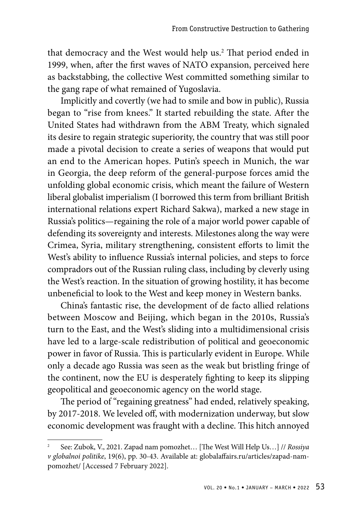that democracy and the West would help us.2 That period ended in 1999, when, after the first waves of NATO expansion, perceived here as backstabbing, the collective West committed something similar to the gang rape of what remained of Yugoslavia.

Implicitly and covertly (we had to smile and bow in public), Russia began to "rise from knees." It started rebuilding the state. After the United States had withdrawn from the ABM Treaty, which signaled its desire to regain strategic superiority, the country that was still poor made a pivotal decision to create a series of weapons that would put an end to the American hopes. Putin's speech in Munich, the war in Georgia, the deep reform of the general-purpose forces amid the unfolding global economic crisis, which meant the failure of Western liberal globalist imperialism (I borrowed this term from brilliant British international relations expert Richard Sakwa), marked a new stage in Russia's politics—regaining the role of a major world power capable of defending its sovereignty and interests. Milestones along the way were Crimea, Syria, military strengthening, consistent efforts to limit the West's ability to influence Russia's internal policies, and steps to force compradors out of the Russian ruling class, including by cleverly using the West's reaction. In the situation of growing hostility, it has become unbeneficial to look to the West and keep money in Western banks.

China's fantastic rise, the development of de facto allied relations between Moscow and Beijing, which began in the 2010s, Russia's turn to the East, and the West's sliding into a multidimensional crisis have led to a large-scale redistribution of political and geoeconomic power in favor of Russia. This is particularly evident in Europe. While only a decade ago Russia was seen as the weak but bristling fringe of the continent, now the EU is desperately fighting to keep its slipping geopolitical and geoeconomic agency on the world stage.

The period of "regaining greatness" had ended, relatively speaking, by 2017-2018. We leveled off, with modernization underway, but slow economic development was fraught with a decline. This hitch annoyed

<sup>2</sup> See: Zubok, V., 2021. Zapad nam pomozhet… [The West Will Help Us…] // *Rossiya v globalnoi politike*, 19(6), pp. 30-43. Available at: globalaffairs.ru/articles/zapad-nampomozhet/ [Accessed 7 February 2022].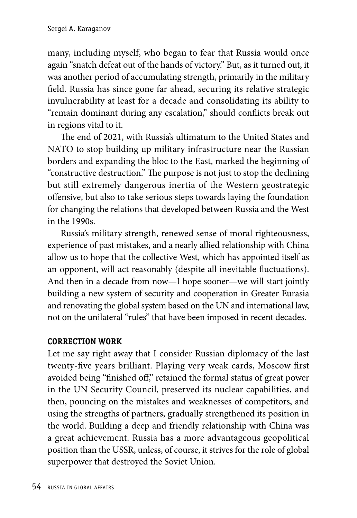many, including myself, who began to fear that Russia would once again "snatch defeat out of the hands of victory." But, as it turned out, it was another period of accumulating strength, primarily in the military field. Russia has since gone far ahead, securing its relative strategic invulnerability at least for a decade and consolidating its ability to "remain dominant during any escalation," should conflicts break out in regions vital to it.

The end of 2021, with Russia's ultimatum to the United States and NATO to stop building up military infrastructure near the Russian borders and expanding the bloc to the East, marked the beginning of "constructive destruction." The purpose is not just to stop the declining but still extremely dangerous inertia of the Western geostrategic offensive, but also to take serious steps towards laying the foundation for changing the relations that developed between Russia and the West in the 1990s.

Russia's military strength, renewed sense of moral righteousness, experience of past mistakes, and a nearly allied relationship with China allow us to hope that the collective West, which has appointed itself as an opponent, will act reasonably (despite all inevitable fluctuations). And then in a decade from now—I hope sooner—we will start jointly building a new system of security and cooperation in Greater Eurasia and renovating the global system based on the UN and international law, not on the unilateral "rules" that have been imposed in recent decades.

#### **CORRECTION WORK**

Let me say right away that I consider Russian diplomacy of the last twenty-five years brilliant. Playing very weak cards, Moscow first avoided being "finished off," retained the formal status of great power in the UN Security Council, preserved its nuclear capabilities, and then, pouncing on the mistakes and weaknesses of competitors, and using the strengths of partners, gradually strengthened its position in the world. Building a deep and friendly relationship with China was a great achievement. Russia has a more advantageous geopolitical position than the USSR, unless, of course, it strives for the role of global superpower that destroyed the Soviet Union.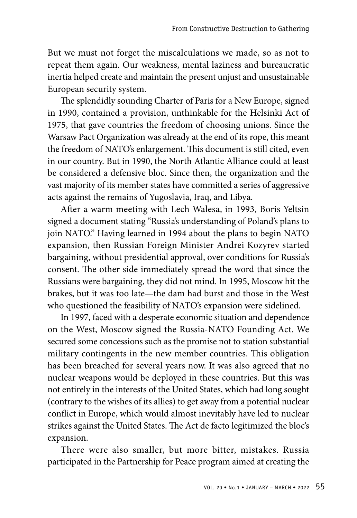But we must not forget the miscalculations we made, so as not to repeat them again. Our weakness, mental laziness and bureaucratic inertia helped create and maintain the present unjust and unsustainable European security system.

The splendidly sounding Charter of Paris for a New Europe, signed in 1990, contained a provision, unthinkable for the Helsinki Act of 1975, that gave countries the freedom of choosing unions. Since the Warsaw Pact Organization was already at the end of its rope, this meant the freedom of NATO's enlargement. This document is still cited, even in our country. But in 1990, the North Atlantic Alliance could at least be considered a defensive bloc. Since then, the organization and the vast majority of its member states have committed a series of aggressive acts against the remains of Yugoslavia, Iraq, and Libya.

After a warm meeting with Lech Walesa, in 1993, Boris Yeltsin signed a document stating "Russia's understanding of Poland's plans to join NATO." Having learned in 1994 about the plans to begin NATO expansion, then Russian Foreign Minister Andrei Kozyrev started bargaining, without presidential approval, over conditions for Russia's consent. The other side immediately spread the word that since the Russians were bargaining, they did not mind. In 1995, Moscow hit the brakes, but it was too late—the dam had burst and those in the West who questioned the feasibility of NATO's expansion were sidelined.

In 1997, faced with a desperate economic situation and dependence on the West, Moscow signed the Russia-NATO Founding Act. We secured some concessions such as the promise not to station substantial military contingents in the new member countries. This obligation has been breached for several years now. It was also agreed that no nuclear weapons would be deployed in these countries. But this was not entirely in the interests of the United States, which had long sought (contrary to the wishes of its allies) to get away from a potential nuclear conflict in Europe, which would almost inevitably have led to nuclear strikes against the United States. The Act de facto legitimized the bloc's expansion.

There were also smaller, but more bitter, mistakes. Russia participated in the Partnership for Peace program aimed at creating the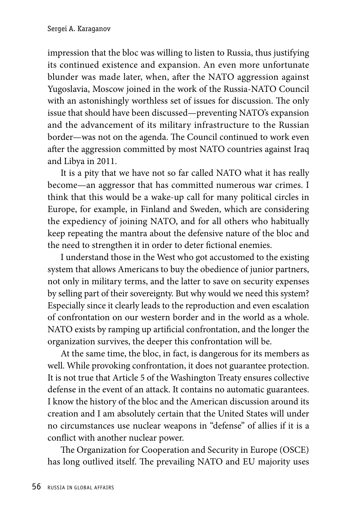impression that the bloc was willing to listen to Russia, thus justifying its continued existence and expansion. An even more unfortunate blunder was made later, when, after the NATO aggression against Yugoslavia, Moscow joined in the work of the Russia-NATO Council with an astonishingly worthless set of issues for discussion. The only issue that should have been discussed—preventing NATO's expansion and the advancement of its military infrastructure to the Russian border—was not on the agenda. The Council continued to work even after the aggression committed by most NATO countries against Iraq and Libya in 2011.

It is a pity that we have not so far called NATO what it has really become—an aggressor that has committed numerous war crimes. I think that this would be a wake-up call for many political circles in Europe, for example, in Finland and Sweden, which are considering the expediency of joining NATO, and for all others who habitually keep repeating the mantra about the defensive nature of the bloc and the need to strengthen it in order to deter fictional enemies.

I understand those in the West who got accustomed to the existing system that allows Americans to buy the obedience of junior partners, not only in military terms, and the latter to save on security expenses by selling part of their sovereignty. But why would we need this system? Especially since it clearly leads to the reproduction and even escalation of confrontation on our western border and in the world as a whole. NATO exists by ramping up artificial confrontation, and the longer the organization survives, the deeper this confrontation will be.

At the same time, the bloc, in fact, is dangerous for its members as well. While provoking confrontation, it does not guarantee protection. It is not true that Article 5 of the Washington Treaty ensures collective defense in the event of an attack. It contains no automatic guarantees. I know the history of the bloc and the American discussion around its creation and I am absolutely certain that the United States will under no circumstances use nuclear weapons in "defense" of allies if it is a conflict with another nuclear power.

The Organization for Cooperation and Security in Europe (OSCE) has long outlived itself. The prevailing NATO and EU majority uses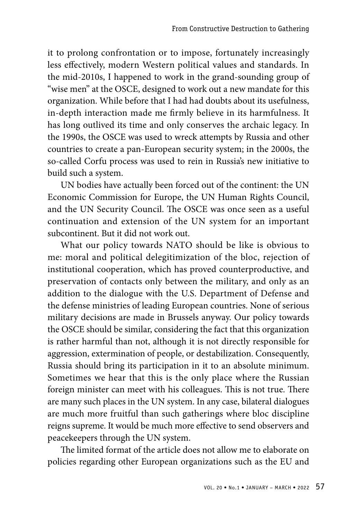it to prolong confrontation or to impose, fortunately increasingly less effectively, modern Western political values and standards. In the mid-2010s, I happened to work in the grand-sounding group of "wise men" at the OSCE, designed to work out a new mandate for this organization. While before that I had had doubts about its usefulness, in-depth interaction made me firmly believe in its harmfulness. It has long outlived its time and only conserves the archaic legacy. In the 1990s, the OSCE was used to wreck attempts by Russia and other countries to create a pan-European security system; in the 2000s, the so-called Corfu process was used to rein in Russia's new initiative to build such a system.

UN bodies have actually been forced out of the continent: the UN Economic Commission for Europe, the UN Human Rights Council, and the UN Security Council. The OSCE was once seen as a useful continuation and extension of the UN system for an important subcontinent. But it did not work out.

What our policy towards NATO should be like is obvious to me: moral and political delegitimization of the bloc, rejection of institutional cooperation, which has proved counterproductive, and preservation of contacts only between the military, and only as an addition to the dialogue with the U.S. Department of Defense and the defense ministries of leading European countries. None of serious military decisions are made in Brussels anyway. Our policy towards the OSCE should be similar, considering the fact that this organization is rather harmful than not, although it is not directly responsible for aggression, extermination of people, or destabilization. Consequently, Russia should bring its participation in it to an absolute minimum. Sometimes we hear that this is the only place where the Russian foreign minister can meet with his colleagues. This is not true. There are many such places in the UN system. In any case, bilateral dialogues are much more fruitful than such gatherings where bloc discipline reigns supreme. It would be much more effective to send observers and peacekeepers through the UN system.

The limited format of the article does not allow me to elaborate on policies regarding other European organizations such as the EU and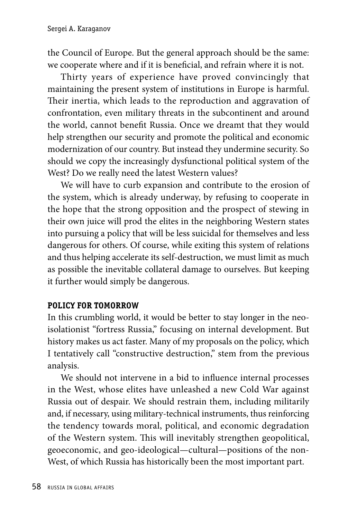the Council of Europe. But the general approach should be the same: we cooperate where and if it is beneficial, and refrain where it is not.

Thirty years of experience have proved convincingly that maintaining the present system of institutions in Europe is harmful. Their inertia, which leads to the reproduction and aggravation of confrontation, even military threats in the subcontinent and around the world, cannot benefit Russia. Once we dreamt that they would help strengthen our security and promote the political and economic modernization of our country. But instead they undermine security. So should we copy the increasingly dysfunctional political system of the West? Do we really need the latest Western values?

We will have to curb expansion and contribute to the erosion of the system, which is already underway, by refusing to cooperate in the hope that the strong opposition and the prospect of stewing in their own juice will prod the elites in the neighboring Western states into pursuing a policy that will be less suicidal for themselves and less dangerous for others. Of course, while exiting this system of relations and thus helping accelerate its self-destruction, we must limit as much as possible the inevitable collateral damage to ourselves. But keeping it further would simply be dangerous.

## **POLICY FOR TOMORROW**

In this crumbling world, it would be better to stay longer in the neoisolationist "fortress Russia," focusing on internal development. But history makes us act faster. Many of my proposals on the policy, which I tentatively call "constructive destruction," stem from the previous analysis.

We should not intervene in a bid to influence internal processes in the West, whose elites have unleashed a new Cold War against Russia out of despair. We should restrain them, including militarily and, if necessary, using military-technical instruments, thus reinforcing the tendency towards moral, political, and economic degradation of the Western system. This will inevitably strengthen geopolitical, geoeconomic, and geo-ideological—cultural—positions of the non-West, of which Russia has historically been the most important part.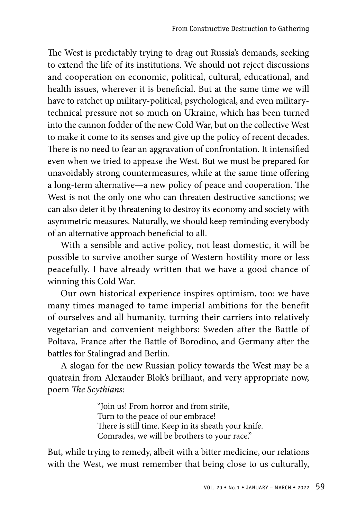The West is predictably trying to drag out Russia's demands, seeking to extend the life of its institutions. We should not reject discussions and cooperation on economic, political, cultural, educational, and health issues, wherever it is beneficial. But at the same time we will have to ratchet up military-political, psychological, and even militarytechnical pressure not so much on Ukraine, which has been turned into the cannon fodder of the new Cold War, but on the collective West to make it come to its senses and give up the policy of recent decades. There is no need to fear an aggravation of confrontation. It intensified even when we tried to appease the West. But we must be prepared for unavoidably strong countermeasures, while at the same time offering a long-term alternative—a new policy of peace and cooperation. The West is not the only one who can threaten destructive sanctions; we can also deter it by threatening to destroy its economy and society with asymmetric measures. Naturally, we should keep reminding everybody of an alternative approach beneficial to all.

With a sensible and active policy, not least domestic, it will be possible to survive another surge of Western hostility more or less peacefully. I have already written that we have a good chance of winning this Cold War.

Our own historical experience inspires optimism, too: we have many times managed to tame imperial ambitions for the benefit of ourselves and all humanity, turning their carriers into relatively vegetarian and convenient neighbors: Sweden after the Battle of Poltava, France after the Battle of Borodino, and Germany after the battles for Stalingrad and Berlin.

A slogan for the new Russian policy towards the West may be a quatrain from Alexander Blok's brilliant, and very appropriate now, poem *The Scythians*:

> "Join us! From horror and from strife, Turn to the peace of our embrace! There is still time. Keep in its sheath your knife. Comrades, we will be brothers to your race."

But, while trying to remedy, albeit with a bitter medicine, our relations with the West, we must remember that being close to us culturally,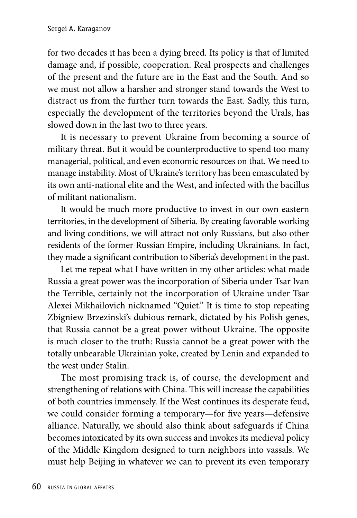for two decades it has been a dying breed. Its policy is that of limited damage and, if possible, cooperation. Real prospects and challenges of the present and the future are in the East and the South. And so we must not allow a harsher and stronger stand towards the West to distract us from the further turn towards the East. Sadly, this turn, especially the development of the territories beyond the Urals, has slowed down in the last two to three years.

It is necessary to prevent Ukraine from becoming a source of military threat. But it would be counterproductive to spend too many managerial, political, and even economic resources on that. We need to manage instability. Most of Ukraine's territory has been emasculated by its own anti-national elite and the West, and infected with the bacillus of militant nationalism.

It would be much more productive to invest in our own eastern territories, in the development of Siberia. By creating favorable working and living conditions, we will attract not only Russians, but also other residents of the former Russian Empire, including Ukrainians. In fact, they made a significant contribution to Siberia's development in the past.

Let me repeat what I have written in my other articles: what made Russia a great power was the incorporation of Siberia under Tsar Ivan the Terrible, certainly not the incorporation of Ukraine under Tsar Alexei Mikhailovich nicknamed "Quiet." It is time to stop repeating Zbigniew Brzezinski's dubious remark, dictated by his Polish genes, that Russia cannot be a great power without Ukraine. The opposite is much closer to the truth: Russia cannot be a great power with the totally unbearable Ukrainian yoke, created by Lenin and expanded to the west under Stalin.

The most promising track is, of course, the development and strengthening of relations with China. This will increase the capabilities of both countries immensely. If the West continues its desperate feud, we could consider forming a temporary—for five years—defensive alliance. Naturally, we should also think about safeguards if China becomes intoxicated by its own success and invokes its medieval policy of the Middle Kingdom designed to turn neighbors into vassals. We must help Beijing in whatever we can to prevent its even temporary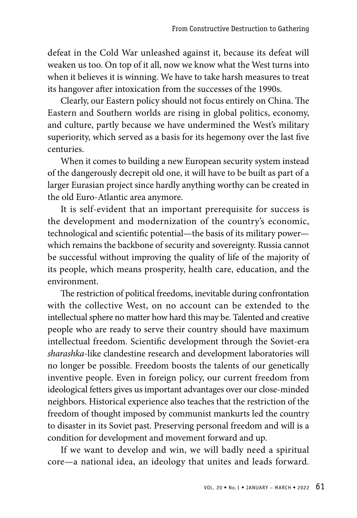defeat in the Cold War unleashed against it, because its defeat will weaken us too. On top of it all, now we know what the West turns into when it believes it is winning. We have to take harsh measures to treat its hangover after intoxication from the successes of the 1990s.

Clearly, our Eastern policy should not focus entirely on China. The Eastern and Southern worlds are rising in global politics, economy, and culture, partly because we have undermined the West's military superiority, which served as a basis for its hegemony over the last five centuries.

When it comes to building a new European security system instead of the dangerously decrepit old one, it will have to be built as part of a larger Eurasian project since hardly anything worthy can be created in the old Euro-Atlantic area anymore.

It is self-evident that an important prerequisite for success is the development and modernization of the country's economic, technological and scientific potential—the basis of its military power which remains the backbone of security and sovereignty. Russia cannot be successful without improving the quality of life of the majority of its people, which means prosperity, health care, education, and the environment.

The restriction of political freedoms, inevitable during confrontation with the collective West, on no account can be extended to the intellectual sphere no matter how hard this may be. Talented and creative people who are ready to serve their country should have maximum intellectual freedom. Scientific development through the Soviet-era *sharashka*-like clandestine research and development laboratories will no longer be possible. Freedom boosts the talents of our genetically inventive people. Even in foreign policy, our current freedom from ideological fetters gives us important advantages over our close-minded neighbors. Historical experience also teaches that the restriction of the freedom of thought imposed by communist mankurts led the country to disaster in its Soviet past. Preserving personal freedom and will is a condition for development and movement forward and up.

If we want to develop and win, we will badly need a spiritual core—a national idea, an ideology that unites and leads forward.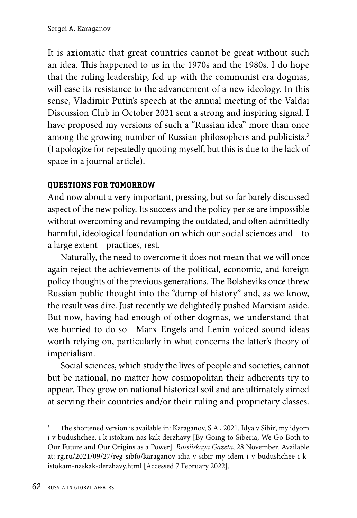It is axiomatic that great countries cannot be great without such an idea. This happened to us in the 1970s and the 1980s. I do hope that the ruling leadership, fed up with the communist era dogmas, will ease its resistance to the advancement of a new ideology. In this sense, Vladimir Putin's speech at the annual meeting of the Valdai Discussion Club in October 2021 sent a strong and inspiring signal. I have proposed my versions of such a "Russian idea" more than once among the growing number of Russian philosophers and publicists.<sup>3</sup> (I apologize for repeatedly quoting myself, but this is due to the lack of space in a journal article).

## **QUESTIONS FOR TOMORROW**

And now about a very important, pressing, but so far barely discussed aspect of the new policy. Its success and the policy per se are impossible without overcoming and revamping the outdated, and often admittedly harmful, ideological foundation on which our social sciences and—to a large extent—practices, rest.

Naturally, the need to overcome it does not mean that we will once again reject the achievements of the political, economic, and foreign policy thoughts of the previous generations. The Bolsheviks once threw Russian public thought into the "dump of history" and, as we know, the result was dire. Just recently we delightedly pushed Marxism aside. But now, having had enough of other dogmas, we understand that we hurried to do so—Marx-Engels and Lenin voiced sound ideas worth relying on, particularly in what concerns the latter's theory of imperialism.

Social sciences, which study the lives of people and societies, cannot but be national, no matter how cosmopolitan their adherents try to appear. They grow on national historical soil and are ultimately aimed at serving their countries and/or their ruling and proprietary classes.

<sup>3</sup> The shortened version is available in: Karaganov, S.A., 2021. Idya v Sibir', my idyom i v budushchee, i k istokam nas kak derzhavy [By Going to Siberia, We Go Both to Our Future and Our Origins as a Power]. *Rossiiskaya Gazeta*, 28 November. Available at: rg.ru/2021/09/27/reg-sibfo/karaganov-idia-v-sibir-my-idem-i-v-budushchee-i-kistokam-naskak-derzhavy.html [Accessed 7 February 2022].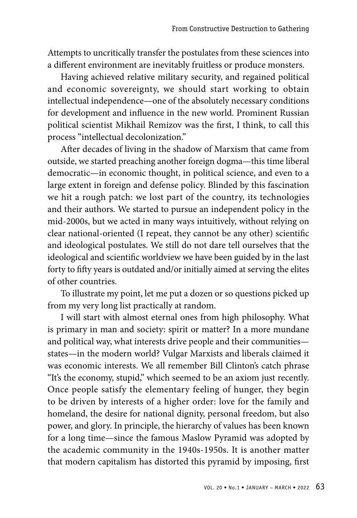Attempts to uncritically transfer the postulates from these sciences into a different environment are inevitably fruitless or produce monsters.

Having achieved relative military security, and regained political and economic sovereignty, we should start working to obtain intellectual independence—one of the absolutely necessary conditions for development and influence in the new world. Prominent Russian political scientist Mikhail Remizov was the first, I think, to call this process "intellectual decolonization."

After decades of living in the shadow of Marxism that came from outside, we started preaching another foreign dogma—this time liberal democratic—in economic thought, in political science, and even to a large extent in foreign and defense policy. Blinded by this fascination we hit a rough patch: we lost part of the country, its technologies and their authors. We started to pursue an independent policy in the mid-2000s, but we acted in many ways intuitively, without relying on clear national-oriented (I repeat, they cannot be any other) scientific and ideological postulates. We still do not dare tell ourselves that the ideological and scientific worldview we have been guided by in the last forty to fifty years is outdated and/or initially aimed at serving the elites of other countries.

To illustrate my point, let me put a dozen or so questions picked up from my very long list practically at random.

I will start with almost eternal ones from high philosophy. What is primary in man and society: spirit or matter? In a more mundane and political way, what interests drive people and their communities states—in the modern world? Vulgar Marxists and liberals claimed it was economic interests. We all remember Bill Clinton's catch phrase "It's the economy, stupid," which seemed to be an axiom just recently. Once people satisfy the elementary feeling of hunger, they begin to be driven by interests of a higher order: love for the family and homeland, the desire for national dignity, personal freedom, but also power, and glory. In principle, the hierarchy of values has been known for a long time—since the famous Maslow Pyramid was adopted by the academic community in the 1940s-1950s. It is another matter that modern capitalism has distorted this pyramid by imposing, first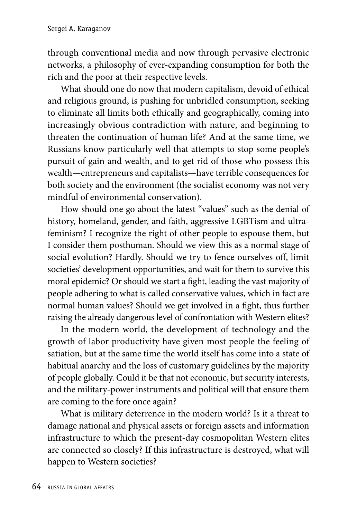through conventional media and now through pervasive electronic networks, a philosophy of ever-expanding consumption for both the rich and the poor at their respective levels.

What should one do now that modern capitalism, devoid of ethical and religious ground, is pushing for unbridled consumption, seeking to eliminate all limits both ethically and geographically, coming into increasingly obvious contradiction with nature, and beginning to threaten the continuation of human life? And at the same time, we Russians know particularly well that attempts to stop some people's pursuit of gain and wealth, and to get rid of those who possess this wealth—entrepreneurs and capitalists—have terrible consequences for both society and the environment (the socialist economy was not very mindful of environmental conservation).

How should one go about the latest "values" such as the denial of history, homeland, gender, and faith, aggressive LGBTism and ultrafeminism? I recognize the right of other people to espouse them, but I consider them posthuman. Should we view this as a normal stage of social evolution? Hardly. Should we try to fence ourselves off, limit societies' development opportunities, and wait for them to survive this moral epidemic? Or should we start a fight, leading the vast majority of people adhering to what is called conservative values, which in fact are normal human values? Should we get involved in a fight, thus further raising the already dangerous level of confrontation with Western elites?

In the modern world, the development of technology and the growth of labor productivity have given most people the feeling of satiation, but at the same time the world itself has come into a state of habitual anarchy and the loss of customary guidelines by the majority of people globally. Could it be that not economic, but security interests, and the military-power instruments and political will that ensure them are coming to the fore once again?

What is military deterrence in the modern world? Is it a threat to damage national and physical assets or foreign assets and information infrastructure to which the present-day cosmopolitan Western elites are connected so closely? If this infrastructure is destroyed, what will happen to Western societies?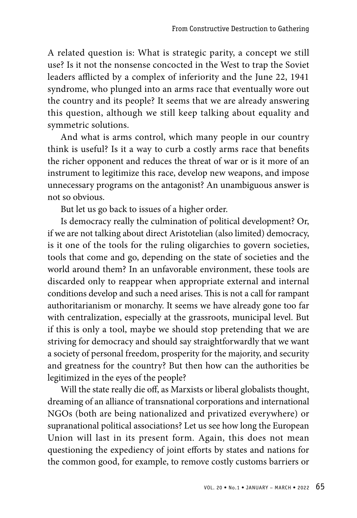A related question is: What is strategic parity, a concept we still use? Is it not the nonsense concocted in the West to trap the Soviet leaders afflicted by a complex of inferiority and the June 22, 1941 syndrome, who plunged into an arms race that eventually wore out the country and its people? It seems that we are already answering this question, although we still keep talking about equality and symmetric solutions.

And what is arms control, which many people in our country think is useful? Is it a way to curb a costly arms race that benefits the richer opponent and reduces the threat of war or is it more of an instrument to legitimize this race, develop new weapons, and impose unnecessary programs on the antagonist? An unambiguous answer is not so obvious.

But let us go back to issues of a higher order.

Is democracy really the culmination of political development? Or, if we are not talking about direct Aristotelian (also limited) democracy, is it one of the tools for the ruling oligarchies to govern societies, tools that come and go, depending on the state of societies and the world around them? In an unfavorable environment, these tools are discarded only to reappear when appropriate external and internal conditions develop and such a need arises. This is not a call for rampant authoritarianism or monarchy. It seems we have already gone too far with centralization, especially at the grassroots, municipal level. But if this is only a tool, maybe we should stop pretending that we are striving for democracy and should say straightforwardly that we want a society of personal freedom, prosperity for the majority, and security and greatness for the country? But then how can the authorities be legitimized in the eyes of the people?

Will the state really die off, as Marxists or liberal globalists thought, dreaming of an alliance of transnational corporations and international NGOs (both are being nationalized and privatized everywhere) or supranational political associations? Let us see how long the European Union will last in its present form. Again, this does not mean questioning the expediency of joint efforts by states and nations for the common good, for example, to remove costly customs barriers or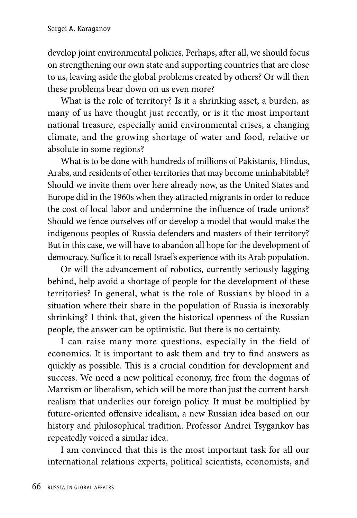develop joint environmental policies. Perhaps, after all, we should focus on strengthening our own state and supporting countries that are close to us, leaving aside the global problems created by others? Or will then these problems bear down on us even more?

What is the role of territory? Is it a shrinking asset, a burden, as many of us have thought just recently, or is it the most important national treasure, especially amid environmental crises, a changing climate, and the growing shortage of water and food, relative or absolute in some regions?

What is to be done with hundreds of millions of Pakistanis, Hindus, Arabs, and residents of other territories that may become uninhabitable? Should we invite them over here already now, as the United States and Europe did in the 1960s when they attracted migrants in order to reduce the cost of local labor and undermine the influence of trade unions? Should we fence ourselves off or develop a model that would make the indigenous peoples of Russia defenders and masters of their territory? But in this case, we will have to abandon all hope for the development of democracy. Suffice it to recall Israel's experience with its Arab population.

Or will the advancement of robotics, currently seriously lagging behind, help avoid a shortage of people for the development of these territories? In general, what is the role of Russians by blood in a situation where their share in the population of Russia is inexorably shrinking? I think that, given the historical openness of the Russian people, the answer can be optimistic. But there is no certainty.

I can raise many more questions, especially in the field of economics. It is important to ask them and try to find answers as quickly as possible. This is a crucial condition for development and success. We need a new political economy, free from the dogmas of Marxism or liberalism, which will be more than just the current harsh realism that underlies our foreign policy. It must be multiplied by future-oriented offensive idealism, a new Russian idea based on our history and philosophical tradition. Professor Andrei Tsygankov has repeatedly voiced a similar idea.

I am convinced that this is the most important task for all our international relations experts, political scientists, economists, and